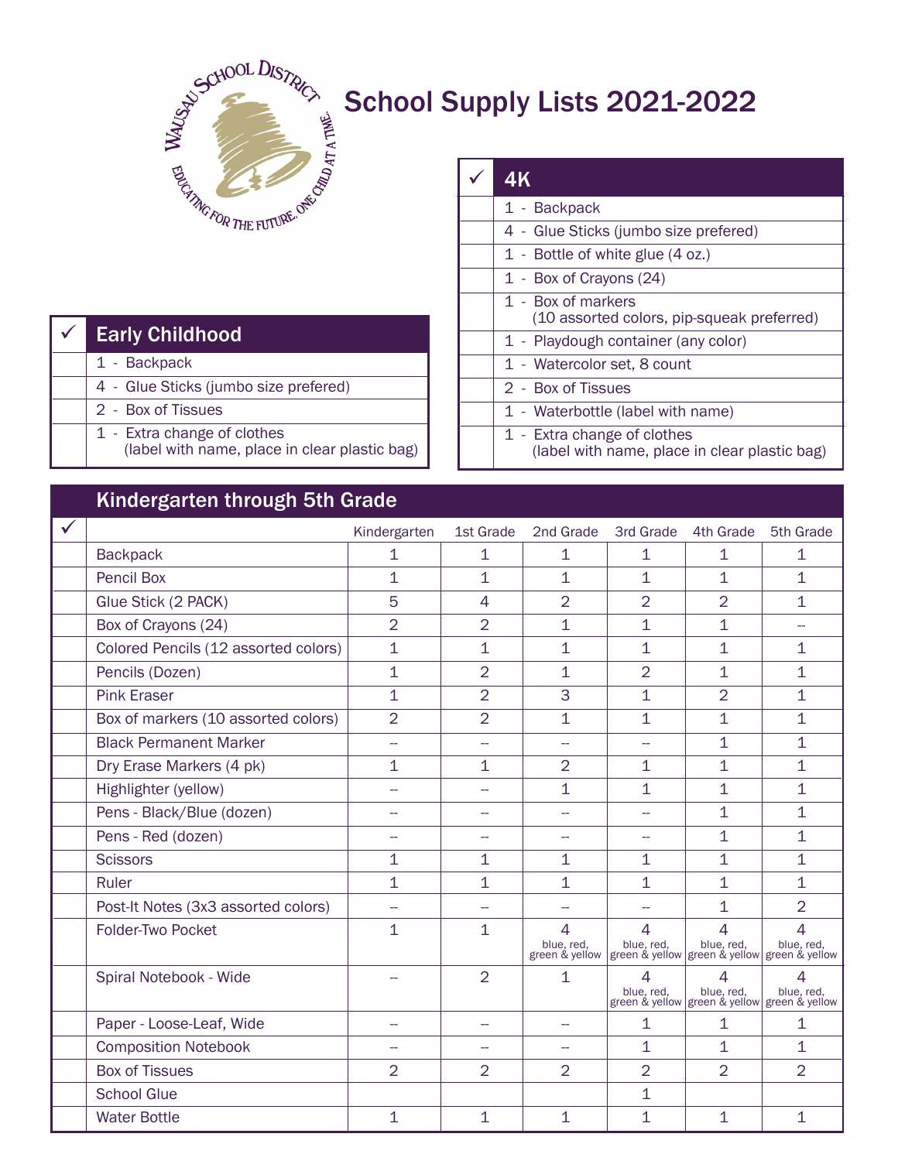

## School Supply Lists 2021-2022

| <b>Early Childhood</b>                                                       |
|------------------------------------------------------------------------------|
| 1 - Backpack                                                                 |
| 4 - Glue Sticks (jumbo size prefered)                                        |
| 2 - Box of Tissues                                                           |
| 1 - Extra change of clothes<br>(label with name, place in clear plastic bag) |

| 4K                                                                           |
|------------------------------------------------------------------------------|
| 1 - Backpack                                                                 |
| 4 - Glue Sticks (jumbo size prefered)                                        |
| 1 - Bottle of white glue (4 oz.)                                             |
| 1 - Box of Crayons (24)                                                      |
| 1 - Box of markers<br>(10 assorted colors, pip-squeak preferred)             |
| 1 - Playdough container (any color)                                          |
| 1 - Watercolor set, 8 count                                                  |
| 2 - Box of Tissues                                                           |
| 1 - Waterbottle (label with name)                                            |
| 1 - Extra change of clothes<br>(label with name, place in clear plastic bag) |

## Kindergarten through 5th Grade

| ັ                                    |                          |                          |                                                                                                                       |                          |                 |                                                                 |
|--------------------------------------|--------------------------|--------------------------|-----------------------------------------------------------------------------------------------------------------------|--------------------------|-----------------|-----------------------------------------------------------------|
|                                      | Kindergarten             | 1st Grade                | 2nd Grade                                                                                                             | 3rd Grade                | 4th Grade       | 5th Grade                                                       |
| <b>Backpack</b>                      | $\mathbf{1}$             | $\mathbf{1}$             | 1                                                                                                                     | 1                        | 1               | 1                                                               |
| <b>Pencil Box</b>                    | $\mathbf 1$              | $\mathbf{1}$             | 1                                                                                                                     | 1                        | 1               | $\mathbf{1}$                                                    |
| Glue Stick (2 PACK)                  | 5                        | 4                        | $\overline{2}$                                                                                                        | $\overline{2}$           | $\overline{2}$  | $\mathbf 1$                                                     |
| Box of Crayons (24)                  | $\overline{2}$           | $\overline{2}$           | 1                                                                                                                     | $\mathbf 1$              | 1               | $\overline{\phantom{0}}$                                        |
| Colored Pencils (12 assorted colors) | $\mathbf 1$              | $\overline{1}$           | 1                                                                                                                     | 1                        | 1               | $\mathbf 1$                                                     |
| Pencils (Dozen)                      | 1                        | $\overline{2}$           | 1                                                                                                                     | $\overline{2}$           | 1               | $\mathbf 1$                                                     |
| <b>Pink Eraser</b>                   | $\mathbf{1}$             | $\overline{2}$           | 3                                                                                                                     | 1                        | $\overline{2}$  | 1                                                               |
| Box of markers (10 assorted colors)  | $\overline{2}$           | $\overline{2}$           | $\mathbf{1}$                                                                                                          | $\overline{1}$           | $\overline{1}$  | $\overline{1}$                                                  |
| <b>Black Permanent Marker</b>        | $\overline{\phantom{a}}$ | $\overline{a}$           | $\overline{\phantom{0}}$                                                                                              | $\overline{\phantom{a}}$ | $\mathbf{1}$    | $\mathbf{1}$                                                    |
| Dry Erase Markers (4 pk)             | 1                        | $\mathbf 1$              | $\overline{2}$                                                                                                        | 1                        | 1               | $\mathbf{1}$                                                    |
| Highlighter (yellow)                 | $\overline{\phantom{a}}$ |                          | 1                                                                                                                     | $\mathbf 1$              | 1               | $\mathbf 1$                                                     |
| Pens - Black/Blue (dozen)            | --                       | $\overline{a}$           | $\overline{a}$                                                                                                        | $\overline{a}$           | 1               | $\mathbf{1}$                                                    |
| Pens - Red (dozen)                   | --                       | $\overline{\phantom{a}}$ | --                                                                                                                    | щ.                       | 1               | $\overline{1}$                                                  |
| <b>Scissors</b>                      | 1                        | $\mathbf{1}$             | 1                                                                                                                     | 1                        | 1               | $\mathbf{1}$                                                    |
| Ruler                                | $\overline{1}$           | $\mathbf{1}$             | $\mathbf 1$                                                                                                           | $\mathbf 1$              | $\overline{1}$  | $\mathbf{1}$                                                    |
| Post-It Notes (3x3 assorted colors)  | --                       |                          |                                                                                                                       |                          | 1               | $\overline{2}$                                                  |
| <b>Folder-Two Pocket</b>             | $\mathbf 1$              | $\mathbf{1}$             | $\overline{4}$<br>blue, red, blue, red, blue, red, blue, red, blue, red, green & yellow green & yellow green & yellow | $\overline{4}$           | 4               | $\overline{4}$                                                  |
| Spiral Notebook - Wide               |                          | $\overline{2}$           | $\mathbf 1$                                                                                                           | 4<br>blue, red.          | 4<br>blue, red, | 4<br>blue, red,<br>green & yellow green & yellow green & yellow |
| Paper - Loose-Leaf, Wide             | $\overline{a}$           | $\overline{\phantom{0}}$ | $\overline{\phantom{0}}$                                                                                              | 1                        | 1               | $\mathbf{1}$                                                    |
| <b>Composition Notebook</b>          |                          |                          |                                                                                                                       | 1                        | 1               | $\mathbf 1$                                                     |
| <b>Box of Tissues</b>                | $\overline{2}$           | $\overline{2}$           | 2                                                                                                                     | $\overline{2}$           | $\overline{2}$  | $\overline{2}$                                                  |
| <b>School Glue</b>                   |                          |                          |                                                                                                                       | $\mathbf 1$              |                 |                                                                 |
| <b>Water Bottle</b>                  | $\mathbf 1$              | $\mathbf 1$              | $\mathbf 1$                                                                                                           | $\mathbf 1$              | $\mathbf 1$     | $\mathbf{1}$                                                    |